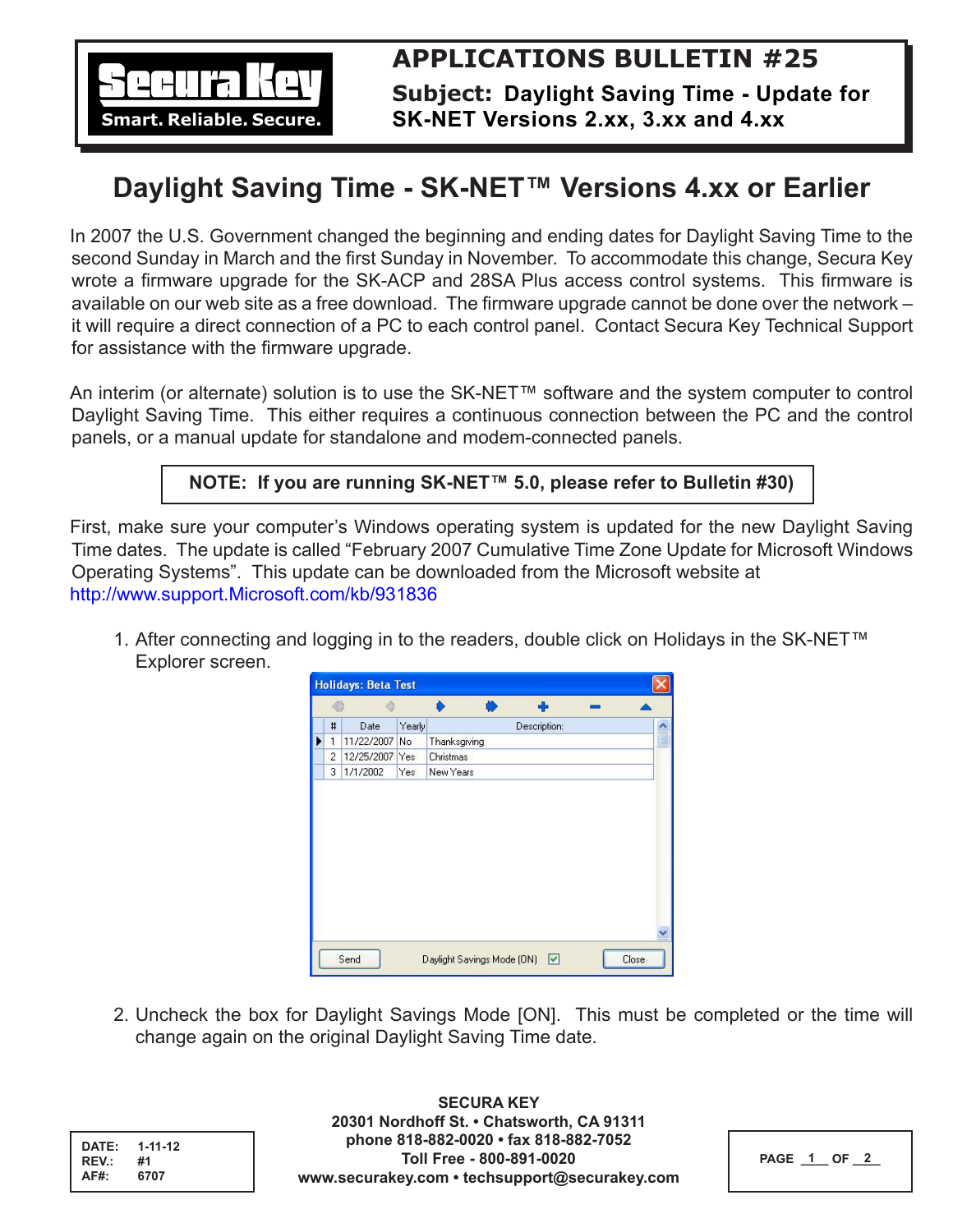

**Subject: Daylight Saving Time - Update for SK-NET Versions 2.xx, 3.xx and 4.xx**

## **Daylight Saving Time - SK-NET™ Versions 4.xx or Earlier**

In 2007 the U.S. Government changed the beginning and ending dates for Daylight Saving Time to the second Sunday in March and the first Sunday in November. To accommodate this change, Secura Key wrote a firmware upgrade for the SK-ACP and 28SA Plus access control systems. This firmware is available on our web site as a free download. The firmware upgrade cannot be done over the network – it will require a direct connection of a PC to each control panel. Contact Secura Key Technical Support for assistance with the firmware upgrade.

An interim (or alternate) solution is to use the SK-NET™ software and the system computer to control Daylight Saving Time. This either requires a continuous connection between the PC and the control panels, or a manual update for standalone and modem-connected panels.

## **NOTE: If you are running SK-NET™ 5.0, please refer to Bulletin #30)**

First, make sure your computer's Windows operating system is updated for the new Daylight Saving Time dates. The update is called "February 2007 Cumulative Time Zone Update for Microsoft Windows Operating Systems". This update can be downloaded from the Microsoft website at http://www.support.Microsoft.com/kb/931836

1. After connecting and logging in to the readers, double click on Holidays in the SK-NET™ Explorer screen.



2. Uncheck the box for Daylight Savings Mode [ON]. This must be completed or the time will change again on the original Daylight Saving Time date.

| DATE:<br>REV.: | $1 - 11 - 12$<br>#1 |  |
|----------------|---------------------|--|
| <b>AF#:</b>    | 6707                |  |

**SECURA KEY 20301 Nordhoff St. • Chatsworth, CA 91311 phone 818-882-0020 • fax 818-882-7052 Toll Free - 800-891-0020 www.securakey.com • techsupport@securakey.com**

| PAGE 1<br><b>OF</b> |
|---------------------|
|---------------------|